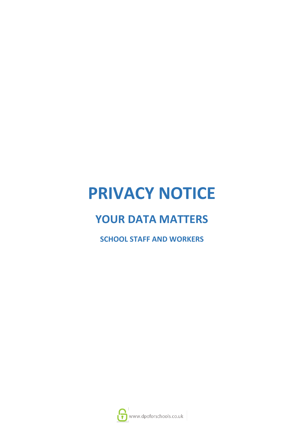# **PRIVACY NOTICE**

# **YOUR DATA MATTERS**

**SCHOOL STAFF AND WORKERS**

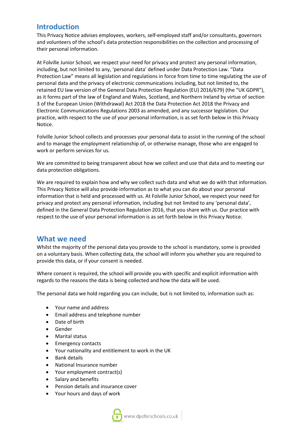#### **Introduction**

This Privacy Notice advises employees, workers, self-employed staff and/or consultants, governors and volunteers of the school's data protection responsibilities on the collection and processing of their personal information.

At Folville Junior School, we respect your need for privacy and protect any personal information, including, but not limited to any, 'personal data' defined under Data Protection Law. "Data Protection Law" means all legislation and regulations in force from time to time regulating the use of personal data and the privacy of electronic communications including, but not limited to, the retained EU law version of the General Data Protection Regulation (EU) 2016/679) (the "UK GDPR"), as it forms part of the law of England and Wales, Scotland, and Northern Ireland by virtue of section 3 of the European Union (Withdrawal) Act 2018 the Data Protection Act 2018 the Privacy and Electronic Communications Regulations 2003 as amended, and any successor legislation. Our practice, with respect to the use of your personal information, is as set forth below in this Privacy Notice.

Folville Junior School collects and processes your personal data to assist in the running of the school and to manage the employment relationship of, or otherwise manage, those who are engaged to work or perform services for us.

We are committed to being transparent about how we collect and use that data and to meeting our data protection obligations.

We are required to explain how and why we collect such data and what we do with that information. This Privacy Notice will also provide information as to what you can do about your personal information that is held and processed with us. At Folville Junior School, we respect your need for privacy and protect any personal information, including but not limited to any 'personal data', defined in the General Data Protection Regulation 2016, that you share with us. Our practice with respect to the use of your personal information is as set forth below in this Privacy Notice.

#### **What we need**

Whilst the majority of the personal data you provide to the school is mandatory, some is provided on a voluntary basis. When collecting data, the school will inform you whether you are required to provide this data, or if your consent is needed.

Where consent is required, the school will provide you with specific and explicit information with regards to the reasons the data is being collected and how the data will be used.

The personal data we hold regarding you can include, but is not limited to, information such as:

- Your name and address
- Email address and telephone number
- Date of birth
- Gender
- Marital status
- Emergency contacts
- Your nationality and entitlement to work in the UK
- Bank details
- National Insurance number
- Your employment contract(s)
- Salary and benefits
- Pension details and insurance cover
- Your hours and days of work

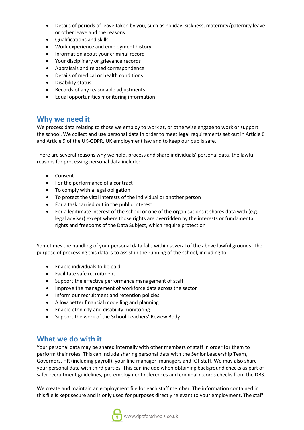- Details of periods of leave taken by you, such as holiday, sickness, maternity/paternity leave or other leave and the reasons
- Qualifications and skills
- Work experience and employment history
- Information about your criminal record
- Your disciplinary or grievance records
- Appraisals and related correspondence
- Details of medical or health conditions
- Disability status
- Records of any reasonable adjustments
- Equal opportunities monitoring information

#### **Why we need it**

We process data relating to those we employ to work at, or otherwise engage to work or support the school. We collect and use personal data in order to meet legal requirements set out in Article 6 and Article 9 of the UK-GDPR, UK employment law and to keep our pupils safe.

There are several reasons why we hold, process and share individuals' personal data, the lawful reasons for processing personal data include:

- Consent
- For the performance of a contract
- To comply with a legal obligation
- To protect the vital interests of the individual or another person
- For a task carried out in the public interest
- For a legitimate interest of the school or one of the organisations it shares data with (e.g. legal adviser) except where those rights are overridden by the interests or fundamental rights and freedoms of the Data Subject, which require protection

Sometimes the handling of your personal data falls within several of the above lawful grounds. The purpose of processing this data is to assist in the running of the school, including to:

- Enable individuals to be paid
- Facilitate safe recruitment
- Support the effective performance management of staff
- Improve the management of workforce data across the sector
- Inform our recruitment and retention policies
- Allow better financial modelling and planning
- Enable ethnicity and disability monitoring
- Support the work of the School Teachers' Review Body

#### **What we do with it**

Your personal data may be shared internally with other members of staff in order for them to perform their roles. This can include sharing personal data with the Senior Leadership Team, Governors, HR (including payroll), your line manager, managers and ICT staff. We may also share your personal data with third parties. This can include when obtaining background checks as part of safer recruitment guidelines, pre-employment references and criminal records checks from the DBS.

We create and maintain an employment file for each staff member. The information contained in this file is kept secure and is only used for purposes directly relevant to your employment. The staff

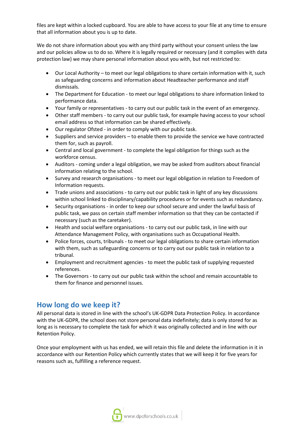files are kept within a locked cupboard. You are able to have access to your file at any time to ensure that all information about you is up to date.

We do not share information about you with any third party without your consent unless the law and our policies allow us to do so. Where it is legally required or necessary (and it complies with data protection law) we may share personal information about you with, but not restricted to:

- Our Local Authority to meet our legal obligations to share certain information with it, such as safeguarding concerns and information about Headteacher performance and staff dismissals.
- The Department for Education to meet our legal obligations to share information linked to performance data.
- Your family or representatives to carry out our public task in the event of an emergency.
- Other staff members to carry out our public task, for example having access to your school email address so that information can be shared effectively.
- Our regulator Ofsted in order to comply with our public task.
- Suppliers and service providers to enable them to provide the service we have contracted them for, such as payroll.
- Central and local government to complete the legal obligation for things such as the workforce census.
- Auditors coming under a legal obligation, we may be asked from auditors about financial information relating to the school.
- Survey and research organisations to meet our legal obligation in relation to Freedom of Information requests.
- Trade unions and associations to carry out our public task in light of any key discussions within school linked to disciplinary/capability procedures or for events such as redundancy.
- Security organisations in order to keep our school secure and under the lawful basis of public task, we pass on certain staff member information so that they can be contacted if necessary (such as the caretaker).
- Health and social welfare organisations to carry out our public task, in line with our Attendance Management Policy, with organisations such as Occupational Health.
- Police forces, courts, tribunals to meet our legal obligations to share certain information with them, such as safeguarding concerns or to carry out our public task in relation to a tribunal.
- Employment and recruitment agencies to meet the public task of supplying requested references.
- The Governors to carry out our public task within the school and remain accountable to them for finance and personnel issues.

#### **How long do we keep it?**

All personal data is stored in line with the school's UK-GDPR Data Protection Policy. In accordance with the UK-GDPR, the school does not store personal data indefinitely; data is only stored for as long as is necessary to complete the task for which it was originally collected and in line with our Retention Policy.

Once your employment with us has ended, we will retain this file and delete the information in it in accordance with our Retention Policy which currently states that we will keep it for five years for reasons such as, fulfilling a reference request.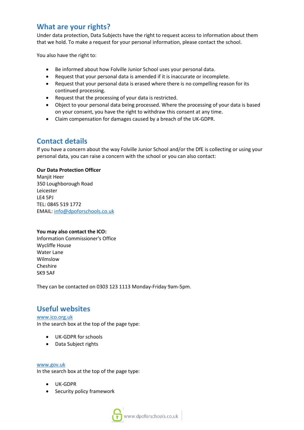#### **What are your rights?**

Under data protection, Data Subjects have the right to request access to information about them that we hold. To make a request for your personal information, please contact the school.

You also have the right to:

- Be informed about how Folville Junior School uses your personal data.
- Request that your personal data is amended if it is inaccurate or incomplete.
- Request that your personal data is erased where there is no compelling reason for its continued processing.
- Request that the processing of your data is restricted.
- Object to your personal data being processed. Where the processing of your data is based on your consent, you have the right to withdraw this consent at any time.
- Claim compensation for damages caused by a breach of the UK-GDPR.

### **Contact details**

If you have a concern about the way Folville Junior School and/or the DfE is collecting or using your personal data, you can raise a concern with the school or you can also contact:

#### **Our Data Protection Officer**

Manjit Heer 350 Loughborough Road Leicester LE4 5PJ TEL: 0845 519 1772 EMAIL: [info@dpoforschools.co.uk](mailto:info@dpoforschools.co.uk)

#### **You may also contact the ICO:**

Information Commissioner's Office Wycliffe House Water Lane Wilmslow Cheshire SK9 5AF

They can be contacted on 0303 123 1113 Monday-Friday 9am-5pm.

## **Useful websites**

[www.ico.org.uk](http://www.ico.org.uk/) In the search box at the top of the page type:

- UK-GDPR for schools
- Data Subject rights

[www.gov.uk](http://www.gov.uk/)

In the search box at the top of the page type:

- UK-GDPR
- Security policy framework